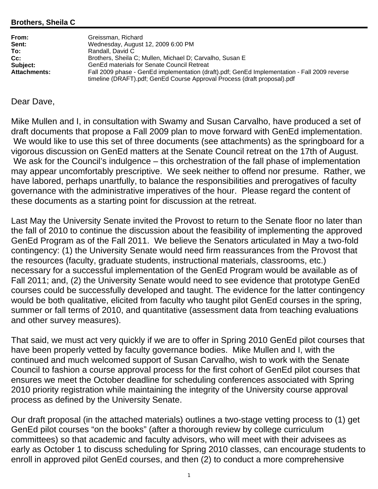## **Brothers, Sheila C**

| From:               | Greissman, Richard                                                                           |
|---------------------|----------------------------------------------------------------------------------------------|
| Sent:               | Wednesday, August 12, 2009 6:00 PM                                                           |
| To:                 | Randall, David C                                                                             |
| $Cc$ :              | Brothers, Sheila C; Mullen, Michael D; Carvalho, Susan E                                     |
| Subject:            | GenEd materials for Senate Council Retreat                                                   |
| <b>Attachments:</b> | Fall 2009 phase - GenEd implementation (draft).pdf; GenEd Implementation - Fall 2009 reverse |
|                     | timeline (DRAFT).pdf; GenEd Course Approval Process (draft proposal).pdf                     |

## Dear Dave,

Mike Mullen and I, in consultation with Swamy and Susan Carvalho, have produced a set of draft documents that propose a Fall 2009 plan to move forward with GenEd implementation. We would like to use this set of three documents (see attachments) as the springboard for a vigorous discussion on GenEd matters at the Senate Council retreat on the 17th of August. We ask for the Council's indulgence – this orchestration of the fall phase of implementation may appear uncomfortably prescriptive. We seek neither to offend nor presume. Rather, we have labored, perhaps unartfully, to balance the responsibilities and prerogatives of faculty governance with the administrative imperatives of the hour. Please regard the content of these documents as a starting point for discussion at the retreat.

Last May the University Senate invited the Provost to return to the Senate floor no later than the fall of 2010 to continue the discussion about the feasibility of implementing the approved GenEd Program as of the Fall 2011. We believe the Senators articulated in May a two-fold contingency: (1) the University Senate would need firm reassurances from the Provost that the resources (faculty, graduate students, instructional materials, classrooms, etc.) necessary for a successful implementation of the GenEd Program would be available as of Fall 2011; and, (2) the University Senate would need to see evidence that prototype GenEd courses could be successfully developed and taught. The evidence for the latter contingency would be both qualitative, elicited from faculty who taught pilot GenEd courses in the spring, summer or fall terms of 2010, and quantitative (assessment data from teaching evaluations and other survey measures).

That said, we must act very quickly if we are to offer in Spring 2010 GenEd pilot courses that have been properly vetted by faculty governance bodies. Mike Mullen and I, with the continued and much welcomed support of Susan Carvalho, wish to work with the Senate Council to fashion a course approval process for the first cohort of GenEd pilot courses that ensures we meet the October deadline for scheduling conferences associated with Spring 2010 priority registration while maintaining the integrity of the University course approval process as defined by the University Senate.

Our draft proposal (in the attached materials) outlines a two-stage vetting process to (1) get GenEd pilot courses "on the books" (after a thorough review by college curriculum committees) so that academic and faculty advisors, who will meet with their advisees as early as October 1 to discuss scheduling for Spring 2010 classes, can encourage students to enroll in approved pilot GenEd courses, and then (2) to conduct a more comprehensive